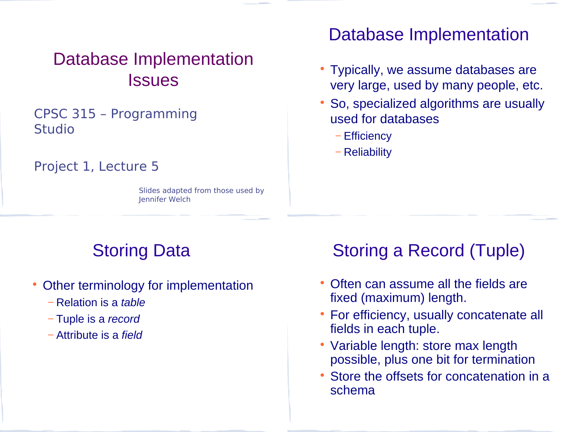## Database Implementation **Issues**

#### CPSC 315 – Programming Studio

#### Project 1, Lecture 5

Slides adapted from those used by Jennifer Welch

#### Database Implementation

- Typically, we assume databases are very large, used by many people, etc.
- So, specialized algorithms are usually used for databases
	- − Efficiency
	- − Reliability

## Storing Data

- Other terminology for implementation
	- − Relation is a *table*
	- − Tuple is a *record*
	- − Attribute is a *field*

## Storing a Record (Tuple)

- Often can assume all the fields are fixed (maximum) length.
- For efficiency, usually concatenate all fields in each tuple.
- Variable length: store max length possible, plus one bit for termination
- Store the offsets for concatenation in a schema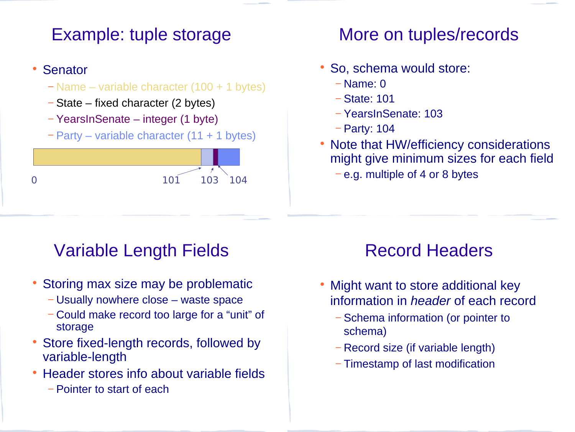## Example: tuple storage

#### • Senator

- − Name variable character (100 + 1 bytes)
- − State fixed character (2 bytes)
- − YearsInSenate integer (1 byte)
- − Party variable character (11 + 1 bytes)



## More on tuples/records

- So, schema would store:
	- − Name: 0
	- − State: 101
	- − YearsInSenate: 103
	- − Party: 104
- Note that HW/efficiency considerations might give minimum sizes for each field
	- − e.g. multiple of 4 or 8 bytes

# Variable Length Fields

- Storing max size may be problematic
	- − Usually nowhere close waste space
	- − Could make record too large for a "unit" of storage
- Store fixed-length records, followed by variable-length
- Header stores info about variable fields
	- − Pointer to start of each

## Record Headers

- Might want to store additional key information in *header* of each record
	- − Schema information (or pointer to schema)
	- − Record size (if variable length)
	- − Timestamp of last modification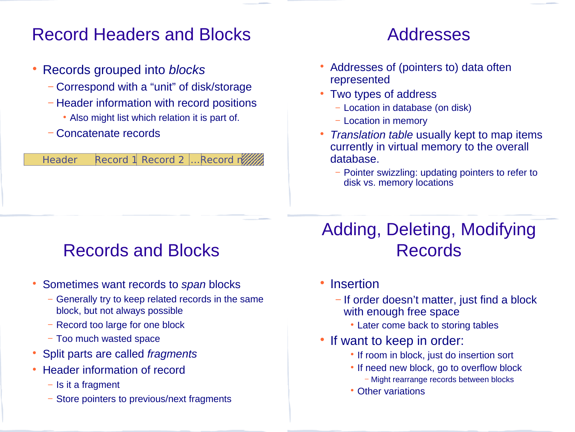## Record Headers and Blocks

- Records grouped into *blocks*
	- − Correspond with a "unit" of disk/storage
	- − Header information with record positions
		- Also might list which relation it is part of.
	- − Concatenate records

#### Header Record 1 Record 2 ... Record n

#### Addresses

- Addresses of (pointers to) data often represented
- Two types of address
	- − Location in database (on disk)
	- − Location in memory
- *Translation table* usually kept to map items currently in virtual memory to the overall database.
	- − Pointer swizzling: updating pointers to refer to disk vs. memory locations

## Records and Blocks

- Sometimes want records to *span* blocks
	- − Generally try to keep related records in the same block, but not always possible
	- − Record too large for one block
	- − Too much wasted space
- Split parts are called *fragments*
- Header information of record
	- − Is it a fragment
	- Store pointers to previous/next fragments

## Adding, Deleting, Modifying Records

- Insertion
	- − If order doesn't matter, just find a block with enough free space
		- Later come back to storing tables
- If want to keep in order:
	- If room in block, just do insertion sort
	- If need new block, go to overflow block
		- − Might rearrange records between blocks
	- Other variations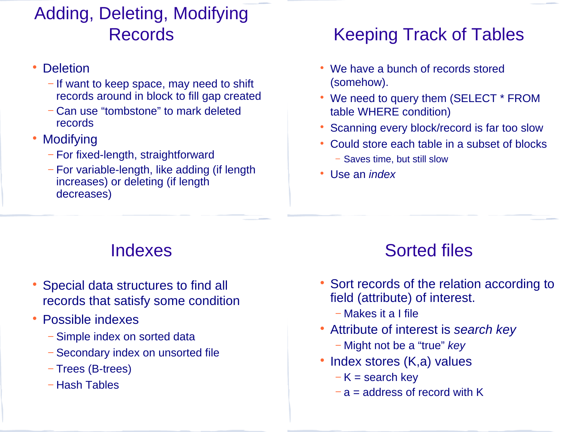## Adding, Deleting, Modifying Records

- Deletion
	- − If want to keep space, may need to shift records around in block to fill gap created
	- − Can use "tombstone" to mark deleted records
- Modifying
	- − For fixed-length, straightforward
	- − For variable-length, like adding (if length increases) or deleting (if length decreases)

## Keeping Track of Tables

- We have a bunch of records stored (somehow).
- We need to query them (SELECT \* FROM table WHERE condition)
- Scanning every block/record is far too slow
- Could store each table in a subset of blocks
	- − Saves time, but still slow
- Use an *index*

## Indexes

- Special data structures to find all records that satisfy some condition
- Possible indexes
	- − Simple index on sorted data
	- − Secondary index on unsorted file
	- − Trees (B-trees)
	- − Hash Tables

## Sorted files

- Sort records of the relation according to field (attribute) of interest.
	- − Makes it a I file
- Attribute of interest is *search key*
	- − Might not be a "true" *key*
- Index stores (K,a) values
	- − K = search key
	- − a = address of record with K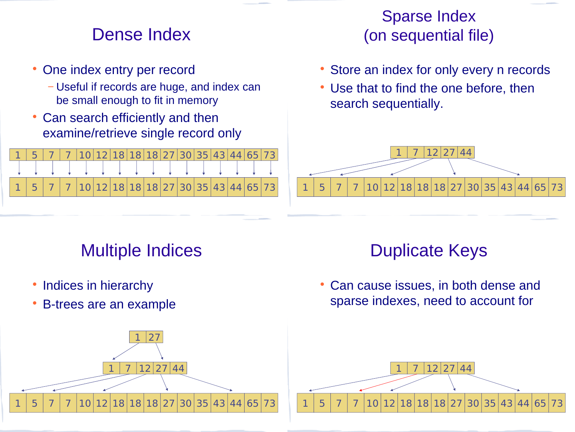## Dense Index

- One index entry per record
	- − Useful if records are huge, and index can be small enough to fit in memory
- Can search efficiently and then examine/retrieve single record only

|  |  |  | 10 12 18 18 18 27 30 35 43    |  |  |  |  |  |
|--|--|--|-------------------------------|--|--|--|--|--|
|  |  |  |                               |  |  |  |  |  |
|  |  |  | 10 12 18 18 18 27 30 35 43 44 |  |  |  |  |  |

#### Sparse Index (on sequential file)

- Store an index for only every n records
- Use that to find the one before, then search sequentially.



# Multiple Indices

- Indices in hierarchy
- B-trees are an example



# Duplicate Keys

 Can cause issues, in both dense and sparse indexes, need to account for

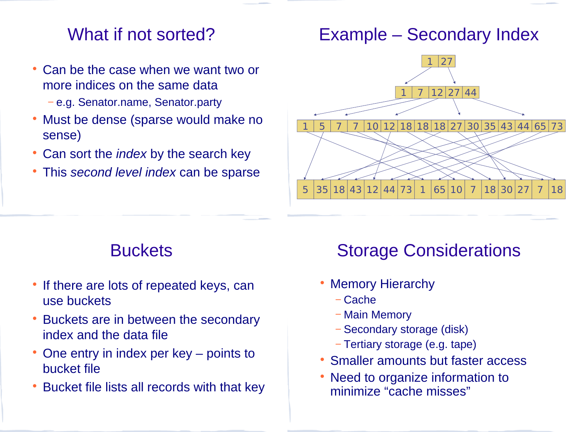### What if not sorted?

- Can be the case when we want two or more indices on the same data
	- − e.g. Senator.name, Senator.party
- Must be dense (sparse would make no sense)
- Can sort the *index* by the search key
- This *second level index* can be sparse

#### Example – Secondary Index



#### **Buckets**

- If there are lots of repeated keys, can use buckets
- Buckets are in between the secondary index and the data file
- One entry in index per key points to bucket file
- Bucket file lists all records with that key

## Storage Considerations

- Memory Hierarchy
	- − Cache
	- − Main Memory
	- − Secondary storage (disk)
	- − Tertiary storage (e.g. tape)
- Smaller amounts but faster access
- Need to organize information to minimize "cache misses"